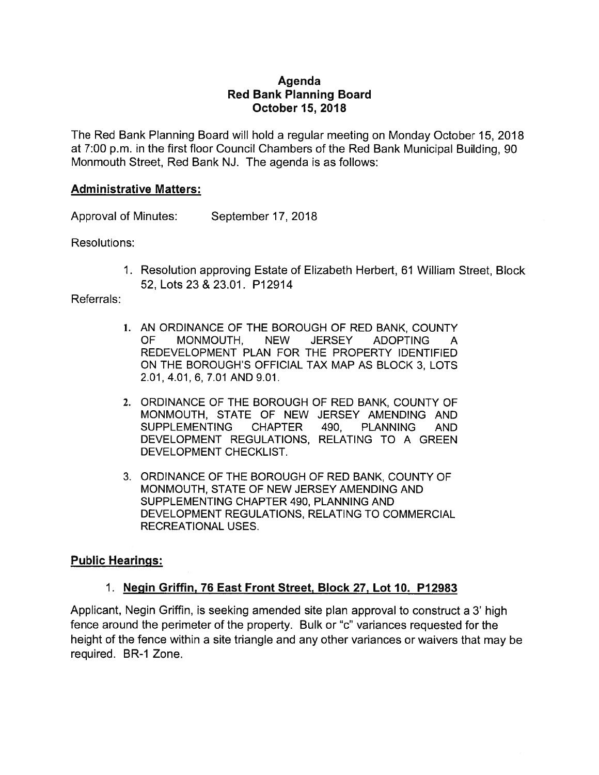## Agenda Red Bank Planning Board October 15, 2018

The Red Bank Planning Board will hold <sup>a</sup> regular meeting on Monday October 15, 2018 at 7:00 p.m. in the first floor Council Chambers of the Red Bank Municipal Building, 90 Monmouth Street, Red Bank NJ. The agenda is as follows:

## Administrative Matters:

Approval of Minutes: September 17, 2018

Resolutions:

1. Resolution approving Estate of Elizabeth Herbert, 61 William Street, Block 52, Lots 23&23.01. P12914

#### Referrals:

- 1. AN ORDINANCE OF THE BOROUGH OF RED BANK, COUNTY OF MONMOUTH, NEW JERSEY ADOPTING A REDEVELOPMENT PLAN FOR THE PROPERTY IDENTIFIED ON THE BOROUGH'S OFFICIAL TAX MAP AS BLOCK 3, LOTS 2.01,4.01,6, 7.01 AND 9.01.
- 2. ORDINANCE OF THE BOROUGH OF RED BANK, COUNTY OF MONMOUTH, STATE OF NEW JERSEY AMENDING AND SUPPLEMENTING CHAPTER 490, PLANNING AND DEVELOPMENT REGULATIONS, RELATING TO A GREEN DEVELOPMENT CHECKLIST.
- 3. ORDINANCE OF THE BOROUGH OF RED BANK, COUNTY OF MONMOUTH, STATE OF NEW JERSEY AMENDING AND SUPPLEMENTING CHAPTER 490, PLANNING AND DEVELOPMENT REGULATIONS, RELATING TO COMMERCIAL RECREATIONAL USES.

## Public Hearings:

## 1. Negin Griffin, 76 East Front Street, Block 27, Lot 10. P12983

Applicant, Negin Griffin, is seeking amended site plan approval to construct <sup>a</sup> 3' high fence around the perimeter of the property. Bulk or "c' variances requested for the height of the fence within <sup>a</sup> site triangle and any other variances or waivers that may be required. BR-1 Zone.